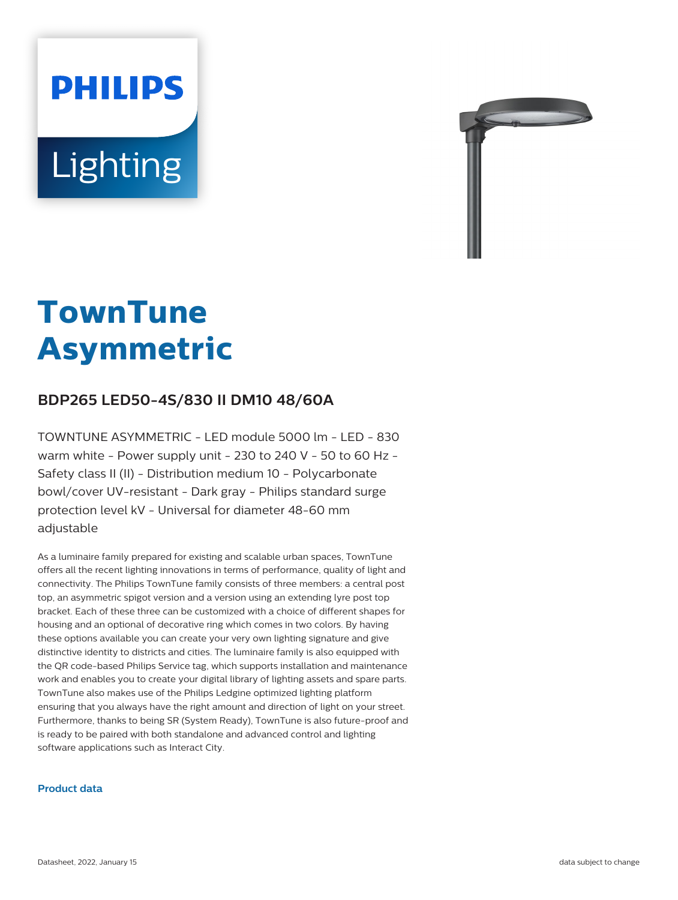



# **TownTune Asymmetric**

## **BDP265 LED50-4S/830 II DM10 48/60A**

TOWNTUNE ASYMMETRIC - LED module 5000 lm - LED - 830 warm white - Power supply unit - 230 to 240 V - 50 to 60 Hz - Safety class II (II) - Distribution medium 10 - Polycarbonate bowl/cover UV-resistant - Dark gray - Philips standard surge protection level kV - Universal for diameter 48-60 mm adjustable

As a luminaire family prepared for existing and scalable urban spaces, TownTune offers all the recent lighting innovations in terms of performance, quality of light and connectivity. The Philips TownTune family consists of three members: a central post top, an asymmetric spigot version and a version using an extending lyre post top bracket. Each of these three can be customized with a choice of different shapes for housing and an optional of decorative ring which comes in two colors. By having these options available you can create your very own lighting signature and give distinctive identity to districts and cities. The luminaire family is also equipped with the QR code-based Philips Service tag, which supports installation and maintenance work and enables you to create your digital library of lighting assets and spare parts. TownTune also makes use of the Philips Ledgine optimized lighting platform ensuring that you always have the right amount and direction of light on your street. Furthermore, thanks to being SR (System Ready), TownTune is also future-proof and is ready to be paired with both standalone and advanced control and lighting software applications such as Interact City.

#### **Product data**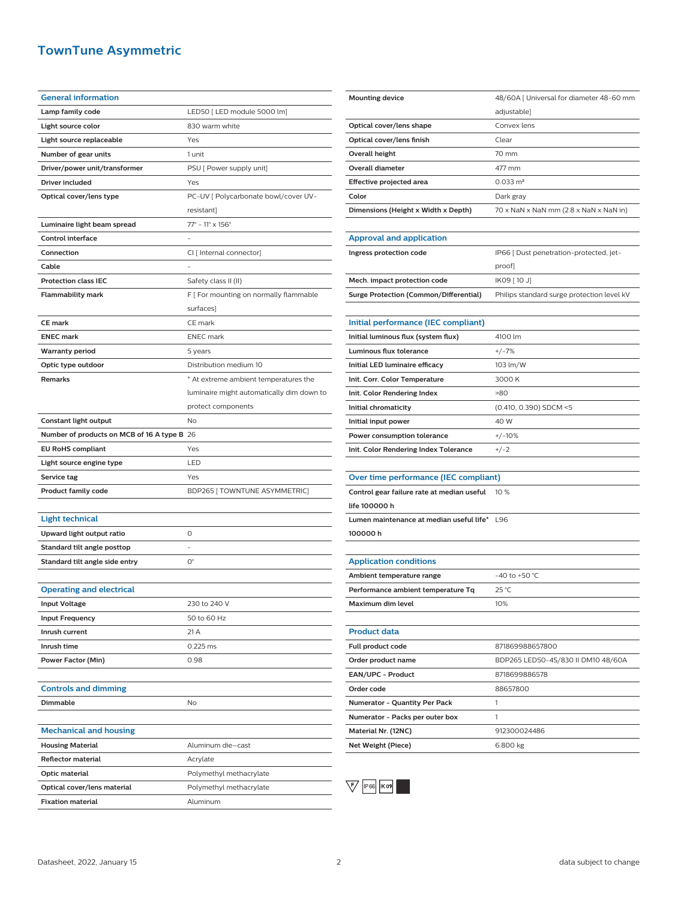## **TownTune Asymmetric**

| <b>General information</b>                  |                                               |
|---------------------------------------------|-----------------------------------------------|
| Lamp family code                            | LED50 [ LED module 5000 lm]                   |
| Light source color                          | 830 warm white                                |
| Light source replaceable                    | Yes                                           |
| Number of gear units                        | 1 unit                                        |
| Driver/power unit/transformer               | PSU [ Power supply unit]                      |
| Driver included                             | Yes                                           |
| Optical cover/lens type                     | PC-UV [ Polycarbonate bowl/cover UV-          |
|                                             | resistant]                                    |
| Luminaire light beam spread                 | $77^{\circ}$ - 11 $^{\circ}$ x 156 $^{\circ}$ |
| <b>Control interface</b>                    |                                               |
| Connection                                  | CI [ Internal connector]                      |
| Cable                                       |                                               |
| <b>Protection class IEC</b>                 | Safety class II (II)                          |
| <b>Flammability mark</b>                    | F [ For mounting on normally flammable        |
|                                             | surfaces]                                     |
| <b>CE mark</b>                              | CE mark                                       |
| <b>ENEC mark</b>                            | <b>ENEC</b> mark                              |
| <b>Warranty period</b>                      | 5 years                                       |
| Optic type outdoor                          | Distribution medium 10                        |
| <b>Remarks</b>                              | * At extreme ambient temperatures the         |
|                                             | luminaire might automatically dim down to     |
|                                             | protect components                            |
| Constant light output                       | No                                            |
| Number of products on MCB of 16 A type B 26 |                                               |
| <b>EU RoHS compliant</b>                    | Yes                                           |
| Light source engine type                    | LED                                           |
| Service tag                                 | Yes                                           |
| <b>Product family code</b>                  | BDP265 [ TOWNTUNE ASYMMETRIC]                 |
|                                             |                                               |
|                                             |                                               |
| <b>Light technical</b>                      |                                               |
| Upward light output ratio                   | 0                                             |
| Standard tilt angle posttop                 |                                               |
| Standard tilt angle side entry              | О°                                            |
|                                             |                                               |
| <b>Operating and electrical</b>             |                                               |
| <b>Input Voltage</b>                        | 230 to 240 V                                  |
| <b>Input Frequency</b>                      | 50 to 60 Hz                                   |
| Inrush current                              | 21 A                                          |
| Inrush time                                 | 0.225 ms                                      |
| Power Factor (Min)                          | 0.98                                          |
|                                             |                                               |
| <b>Controls and dimming</b>                 |                                               |
| <b>Dimmable</b>                             | No                                            |
|                                             |                                               |
| <b>Mechanical and housing</b>               |                                               |
| <b>Housing Material</b>                     | Aluminum die-cast                             |
| <b>Reflector material</b>                   | Acrylate                                      |
| Optic material                              | Polymethyl methacrylate                       |
| Optical cover/lens material                 | Polymethyl methacrylate                       |

| <b>Mounting device</b>              | 48/60A [ Universal for diameter 48-60 mm                           |
|-------------------------------------|--------------------------------------------------------------------|
|                                     | adjustable]                                                        |
| Optical cover/lens shape            | Convex lens                                                        |
| Optical cover/lens finish           | Clear                                                              |
| Overall height                      | 70 mm                                                              |
| Overall diameter                    | 477 mm                                                             |
| Effective projected area            | $0.033 \text{ m}^2$                                                |
| Color                               | Dark gray                                                          |
| Dimensions (Height x Width x Depth) | $70 \times$ NaN $\times$ NaN mm (2.8 $\times$ NaN $\times$ NaN in) |
|                                     |                                                                    |

| <b>Approval and application</b>        |                                            |
|----------------------------------------|--------------------------------------------|
| Ingress protection code                | IP66   Dust penetration-protected, jet-    |
|                                        | proof                                      |
| Mech. impact protection code           | IK09 [ 10 J]                               |
| Surge Protection (Common/Differential) | Philips standard surge protection level kV |

| Initial performance (IEC compliant)   |                        |
|---------------------------------------|------------------------|
| Initial luminous flux (system flux)   | 4100 lm                |
| Luminous flux tolerance               | $+/-7%$                |
| Initial LED luminaire efficacy        | 103 lm/W               |
| Init. Corr. Color Temperature         | 3000 K                 |
| Init. Color Rendering Index           | >80                    |
| Initial chromaticity                  | (0.410, 0.390) SDCM <5 |
| Initial input power                   | 40 W                   |
| Power consumption tolerance           | $+/-10%$               |
| Init. Color Rendering Index Tolerance | $+/-2$                 |

| Control gear failure rate at median useful 10 % |  |
|-------------------------------------------------|--|
| life 100000 h                                   |  |
| Lumen maintenance at median useful life* L96    |  |
| 100000h                                         |  |

| <b>Application conditions</b>      |                  |
|------------------------------------|------------------|
| Ambient temperature range          | $-40$ to +50 °C. |
| Performance ambient temperature Tq | $25^{\circ}$ C   |
| Maximum dim level                  | 10%              |

| <b>Product data</b>                  |                                    |
|--------------------------------------|------------------------------------|
| Full product code                    | 871869988657800                    |
| Order product name                   | BDP265 LED50-4S/830 II DM10 48/60A |
| <b>EAN/UPC - Product</b>             | 8718699886578                      |
| Order code                           | 88657800                           |
| <b>Numerator - Quantity Per Pack</b> |                                    |
| Numerator - Packs per outer box      |                                    |
| Material Nr. (12NC)                  | 912300024486                       |
| Net Weight (Piece)                   | 6.800 kg                           |